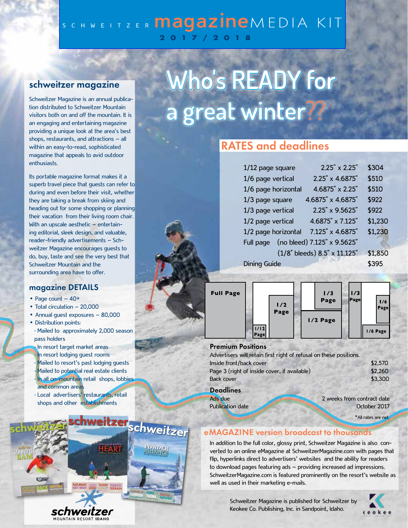# SCHWEITZER **magazine**MEDIA KIT 2017/2018

## **schweitzer magazine**

Schweitzer Magazine is an annual publication distributed to Schweitzer Mountain visitors both on and off the mountain. It is an engaging and entertaining magazine providing a unique look at the area's best shops, restaurants, and attractions – all within an easy-to-read, sophisticated magazine that appeals to avid outdoor enthusiasts.

Its portable magazine format makes it a superb travel piece that guests can refer to during and even before their visit, whether they are taking a break from skiing and heading out for some shopping or planning their vacation from their living room chair. With an upscale aesthetic - entertaining editorial, sleek design, and valuable, reader-friendly advertisements – Schweitzer Magazine encourages guests to do, buy, taste and see the very best that Schweitzer Mountain and the surrounding area have to offer.

#### **magazine DETAILS**

- Page count 40+
- Total circulation 20,000
- Annual guest exposures 80,000
- Distribution points: • Mailed to approximately 2,000 season pass holders
- In resort target market areas In resort lodging guest rooms Mailed to resort's past lodging guests • Mailed to potential real estate clients
- In all on-mountain retail shops, lobbies and common areas
- Local advertisers' restaurants, retail shops and other establishments



# **Who's READY for a great winter**??

# **RATES and deadlines**

| 1/12 page square    | $2.25" \times 2.25"$         | \$304   |
|---------------------|------------------------------|---------|
| 1/6 page vertical   | 2.25" x 4.6875"              | \$510   |
| 1/6 page horizontal | 4.6875" x 2.25"              | \$510   |
| 1/3 page square     | 4.6875" x 4.6875"            | \$922   |
| 1/3 page vertical   | 2.25" x 9.5625"              | \$922   |
| 1/2 page vertical   | 4.6875" x 7.125"             | \$1,230 |
| 1/2 page horizontal | 7.125" x 4.6875"             | \$1,230 |
| Full page           | (no bleed) 7.125" x 9.5625"  |         |
|                     | (1/8" bleeds) 8.5" x 11.125" | \$1,850 |
| <b>Dining Guide</b> | \$395                        |         |



#### **Premium Positions**

| Advertisers will retain first right of refusal on these positions. |                            |  |  |
|--------------------------------------------------------------------|----------------------------|--|--|
| Inside front/back cover                                            | \$2,570                    |  |  |
| Page 3 (right of inside cover, if available)                       | \$2,260                    |  |  |
| <b>Back cover</b>                                                  | \$3,300                    |  |  |
| <b>Deadlines</b>                                                   |                            |  |  |
| Ads due                                                            | 2 weeks from contract date |  |  |
| Publication date                                                   | October 2017               |  |  |

\*All rates are net.

### **eMAGAZINE version broadcast to thousands**

In addition to the full color, glossy print, Schweitzer Magazine is also converted to an online eMagazine at SchweitzerMagazine.com with pages that flip, hyperlinks direct to advertisers' websites and the ability for readers to download pages featuring ads – providing increased ad impressions. SchweitzerMagazine.com is featured prominently on the resort's website as well as used in their marketing e-mails.

> Schweitzer Magazine is published for Schweitzer by Keokee Co. Publishing, Inc. in Sandpoint, Idaho.